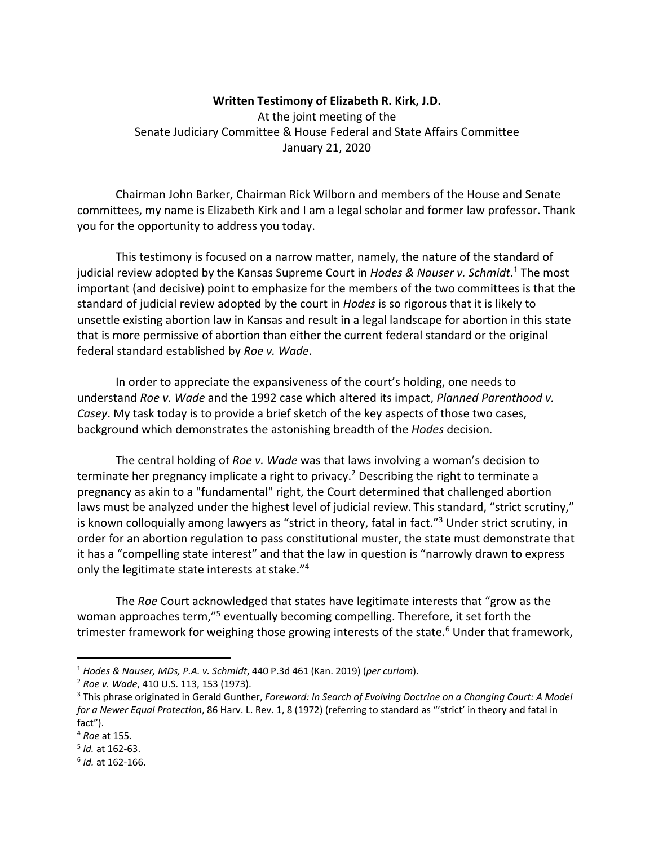## **Written Testimony of Elizabeth R. Kirk, J.D.**

At the joint meeting of the Senate Judiciary Committee & House Federal and State Affairs Committee January 21, 2020

Chairman John Barker, Chairman Rick Wilborn and members of the House and Senate committees, my name is Elizabeth Kirk and I am a legal scholar and former law professor. Thank you for the opportunity to address you today.

This testimony is focused on a narrow matter, namely, the nature of the standard of judicial review adopted by the Kansas Supreme Court in *Hodes & Nauser v. Schmidt*. <sup>1</sup> The most important (and decisive) point to emphasize for the members of the two committees is that the standard of judicial review adopted by the court in *Hodes* is so rigorous that it is likely to unsettle existing abortion law in Kansas and result in a legal landscape for abortion in this state that is more permissive of abortion than either the current federal standard or the original federal standard established by *Roe v. Wade*.

In order to appreciate the expansiveness of the court's holding, one needs to understand *Roe v. Wade* and the 1992 case which altered its impact, *Planned Parenthood v. Casey*. My task today is to provide a brief sketch of the key aspects of those two cases, background which demonstrates the astonishing breadth of the *Hodes* decision*.*

The central holding of *Roe v. Wade* was that laws involving a woman's decision to terminate her pregnancy implicate a right to privacy.<sup>2</sup> Describing the right to terminate a pregnancy as akin to a "fundamental" right, the Court determined that challenged abortion laws must be analyzed under the highest level of judicial review. This standard, "strict scrutiny," is known colloquially among lawyers as "strict in theory, fatal in fact."<sup>3</sup> Under strict scrutiny, in order for an abortion regulation to pass constitutional muster, the state must demonstrate that it has a "compelling state interest" and that the law in question is "narrowly drawn to express only the legitimate state interests at stake."4

The *Roe* Court acknowledged that states have legitimate interests that "grow as the woman approaches term,"5 eventually becoming compelling. Therefore, it set forth the trimester framework for weighing those growing interests of the state. <sup>6</sup> Under that framework,

<sup>1</sup> *Hodes & Nauser, MDs, P.A. v. Schmidt*, 440 P.3d 461 (Kan. 2019) (*per curiam*).

<sup>2</sup> *Roe v. Wade*, 410 U.S. 113, 153 (1973).

<sup>3</sup> This phrase originated in Gerald Gunther, *Foreword: In Search of Evolving Doctrine on a Changing Court: A Model for a Newer Equal Protection*, 86 Harv. L. Rev. 1, 8 (1972) (referring to standard as "'strict' in theory and fatal in fact").

<sup>4</sup> *Roe* at 155.

<sup>5</sup> *Id.* at 162-63.

<sup>6</sup> *Id.* at 162-166.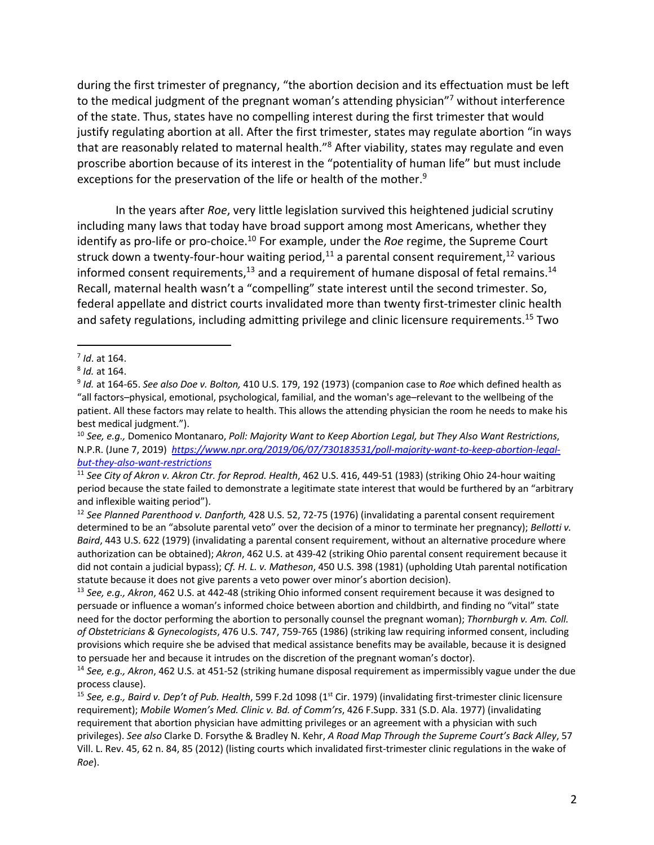during the first trimester of pregnancy, "the abortion decision and its effectuation must be left to the medical judgment of the pregnant woman's attending physician"<sup>7</sup> without interference of the state. Thus, states have no compelling interest during the first trimester that would justify regulating abortion at all. After the first trimester, states may regulate abortion "in ways that are reasonably related to maternal health."<sup>8</sup> After viability, states may regulate and even proscribe abortion because of its interest in the "potentiality of human life" but must include exceptions for the preservation of the life or health of the mother.<sup>9</sup>

In the years after *Roe*, very little legislation survived this heightened judicial scrutiny including many laws that today have broad support among most Americans, whether they identify as pro-life or pro-choice.<sup>10</sup> For example, under the *Roe* regime, the Supreme Court struck down a twenty-four-hour waiting period,<sup>11</sup> a parental consent requirement,<sup>12</sup> various informed consent requirements,<sup>13</sup> and a requirement of humane disposal of fetal remains.<sup>14</sup> Recall, maternal health wasn't a "compelling" state interest until the second trimester. So, federal appellate and district courts invalidated more than twenty first-trimester clinic health and safety regulations, including admitting privilege and clinic licensure requirements.<sup>15</sup> Two

<sup>7</sup> *Id*. at 164.

<sup>8</sup> *Id.* at 164.

<sup>9</sup> *Id.* at 164-65. *See also Doe v. Bolton,* 410 U.S. 179, 192 (1973) (companion case to *Roe* which defined health as "all factors–physical, emotional, psychological, familial, and the woman's age–relevant to the wellbeing of the patient. All these factors may relate to health. This allows the attending physician the room he needs to make his best medical judgment.").

<sup>10</sup> *See, e.g.,* Domenico Montanaro, *Poll: Majority Want to Keep Abortion Legal, but They Also Want Restrictions*, N.P.R. (June 7, 2019) *https://www.npr.org/2019/06/07/730183531/poll-majority-want-to-keep-abortion-legalbut-they-also-want-restrictions*

<sup>11</sup> *See City of Akron v. Akron Ctr. for Reprod. Health*, 462 U.S. 416, 449-51 (1983) (striking Ohio 24-hour waiting period because the state failed to demonstrate a legitimate state interest that would be furthered by an "arbitrary and inflexible waiting period").

<sup>12</sup> *See Planned Parenthood v. Danforth,* 428 U.S. 52, 72-75 (1976) (invalidating a parental consent requirement determined to be an "absolute parental veto" over the decision of a minor to terminate her pregnancy); *Bellotti v. Baird*, 443 U.S. 622 (1979) (invalidating a parental consent requirement, without an alternative procedure where authorization can be obtained); *Akron*, 462 U.S. at 439-42 (striking Ohio parental consent requirement because it did not contain a judicial bypass); *Cf. H. L. v. Matheson*, 450 U.S. 398 (1981) (upholding Utah parental notification statute because it does not give parents a veto power over minor's abortion decision).

<sup>13</sup> *See, e.g., Akron*, 462 U.S. at 442-48 (striking Ohio informed consent requirement because it was designed to persuade or influence a woman's informed choice between abortion and childbirth, and finding no "vital" state need for the doctor performing the abortion to personally counsel the pregnant woman); *Thornburgh v. Am. Coll. of Obstetricians & Gynecologists*, 476 U.S. 747, 759-765 (1986) (striking law requiring informed consent, including provisions which require she be advised that medical assistance benefits may be available, because it is designed to persuade her and because it intrudes on the discretion of the pregnant woman's doctor).

<sup>14</sup> *See, e.g., Akron*, 462 U.S. at 451-52 (striking humane disposal requirement as impermissibly vague under the due process clause).

<sup>&</sup>lt;sup>15</sup> See, e.g., Baird v. Dep't of Pub. Health, 599 F.2d 1098 (1<sup>st</sup> Cir. 1979) (invalidating first-trimester clinic licensure requirement); *Mobile Women's Med. Clinic v. Bd. of Comm'rs*, 426 F.Supp. 331 (S.D. Ala. 1977) (invalidating requirement that abortion physician have admitting privileges or an agreement with a physician with such privileges). *See also* Clarke D. Forsythe & Bradley N. Kehr, *A Road Map Through the Supreme Court's Back Alley*, 57 Vill. L. Rev. 45, 62 n. 84, 85 (2012) (listing courts which invalidated first-trimester clinic regulations in the wake of *Roe*).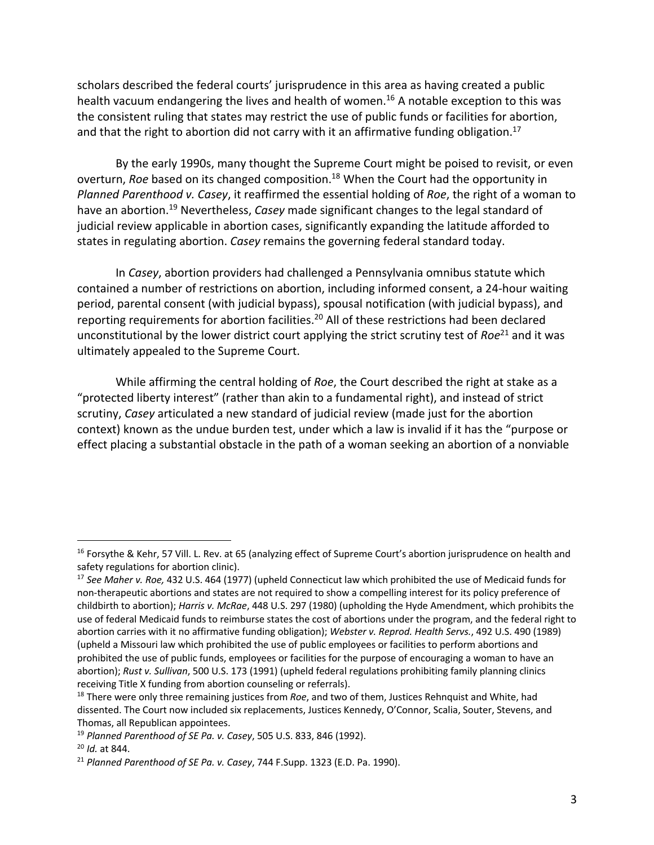scholars described the federal courts' jurisprudence in this area as having created a public health vacuum endangering the lives and health of women.<sup>16</sup> A notable exception to this was the consistent ruling that states may restrict the use of public funds or facilities for abortion, and that the right to abortion did not carry with it an affirmative funding obligation.<sup>17</sup>

By the early 1990s, many thought the Supreme Court might be poised to revisit, or even overturn, *Roe* based on its changed composition.<sup>18</sup> When the Court had the opportunity in *Planned Parenthood v. Casey*, it reaffirmed the essential holding of *Roe*, the right of a woman to have an abortion.<sup>19</sup> Nevertheless, *Casey* made significant changes to the legal standard of judicial review applicable in abortion cases, significantly expanding the latitude afforded to states in regulating abortion. *Casey* remains the governing federal standard today.

In *Casey*, abortion providers had challenged a Pennsylvania omnibus statute which contained a number of restrictions on abortion, including informed consent, a 24-hour waiting period, parental consent (with judicial bypass), spousal notification (with judicial bypass), and reporting requirements for abortion facilities.<sup>20</sup> All of these restrictions had been declared unconstitutional by the lower district court applying the strict scrutiny test of *Roe*<sup>21</sup> and it was ultimately appealed to the Supreme Court.

While affirming the central holding of *Roe*, the Court described the right at stake as a "protected liberty interest" (rather than akin to a fundamental right), and instead of strict scrutiny, *Casey* articulated a new standard of judicial review (made just for the abortion context) known as the undue burden test, under which a law is invalid if it has the "purpose or effect placing a substantial obstacle in the path of a woman seeking an abortion of a nonviable

<sup>&</sup>lt;sup>16</sup> Forsythe & Kehr, 57 Vill. L. Rev. at 65 (analyzing effect of Supreme Court's abortion jurisprudence on health and safety regulations for abortion clinic).

<sup>17</sup> *See Maher v. Roe,* 432 U.S. 464 (1977) (upheld Connecticut law which prohibited the use of Medicaid funds for non-therapeutic abortions and states are not required to show a compelling interest for its policy preference of childbirth to abortion); *Harris v. McRae*, 448 U.S. 297 (1980) (upholding the Hyde Amendment, which prohibits the use of federal Medicaid funds to reimburse states the cost of abortions under the program, and the federal right to abortion carries with it no affirmative funding obligation); *Webster v. Reprod. Health Servs.*, 492 U.S. 490 (1989) (upheld a Missouri law which prohibited the use of public employees or facilities to perform abortions and prohibited the use of public funds, employees or facilities for the purpose of encouraging a woman to have an abortion); *Rust v. Sullivan*, 500 U.S. 173 (1991) (upheld federal regulations prohibiting family planning clinics receiving Title X funding from abortion counseling or referrals).

<sup>18</sup> There were only three remaining justices from *Roe*, and two of them, Justices Rehnquist and White, had dissented. The Court now included six replacements, Justices Kennedy, O'Connor, Scalia, Souter, Stevens, and Thomas, all Republican appointees.

<sup>19</sup> *Planned Parenthood of SE Pa. v. Casey*, 505 U.S. 833, 846 (1992).

<sup>20</sup> *Id.* at 844.

<sup>21</sup> *Planned Parenthood of SE Pa. v. Casey*, 744 F.Supp. 1323 (E.D. Pa. 1990).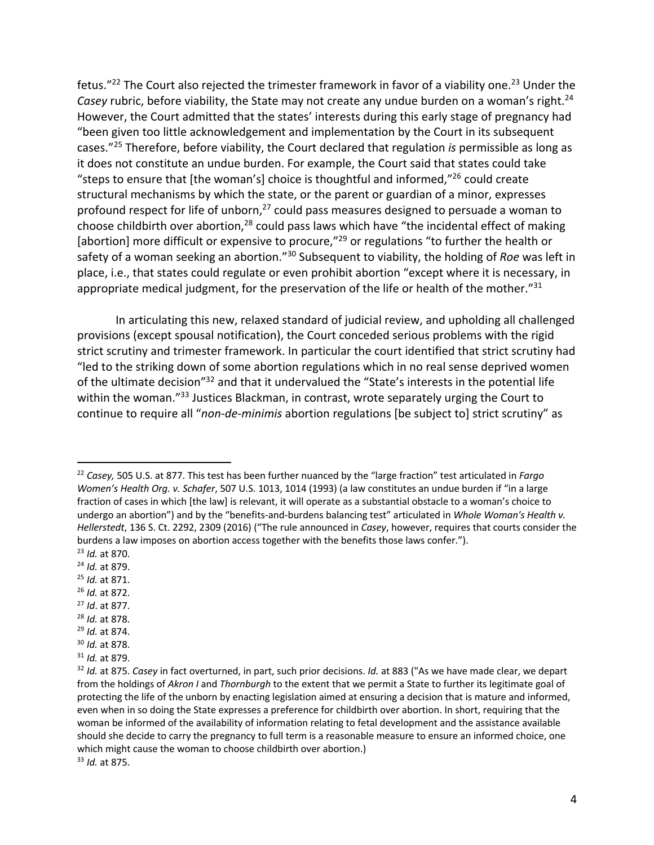fetus."<sup>22</sup> The Court also rejected the trimester framework in favor of a viability one.<sup>23</sup> Under the Casey rubric, before viability, the State may not create any undue burden on a woman's right.<sup>24</sup> However, the Court admitted that the states' interests during this early stage of pregnancy had "been given too little acknowledgement and implementation by the Court in its subsequent cases."25 Therefore, before viability, the Court declared that regulation *is* permissible as long as it does not constitute an undue burden. For example, the Court said that states could take "steps to ensure that [the woman's] choice is thoughtful and informed," $^{26}$  could create structural mechanisms by which the state, or the parent or guardian of a minor, expresses profound respect for life of unborn,<sup>27</sup> could pass measures designed to persuade a woman to choose childbirth over abortion,<sup>28</sup> could pass laws which have "the incidental effect of making [abortion] more difficult or expensive to procure,"<sup>29</sup> or regulations "to further the health or safety of a woman seeking an abortion."30 Subsequent to viability, the holding of *Roe* was left in place, i.e., that states could regulate or even prohibit abortion "except where it is necessary, in appropriate medical judgment, for the preservation of the life or health of the mother." $31$ 

In articulating this new, relaxed standard of judicial review, and upholding all challenged provisions (except spousal notification), the Court conceded serious problems with the rigid strict scrutiny and trimester framework. In particular the court identified that strict scrutiny had "led to the striking down of some abortion regulations which in no real sense deprived women of the ultimate decision"32 and that it undervalued the "State's interests in the potential life within the woman."<sup>33</sup> Justices Blackman, in contrast, wrote separately urging the Court to continue to require all "*non-de-minimis* abortion regulations [be subject to] strict scrutiny" as

- <sup>24</sup> *Id.* at 879.
- <sup>25</sup> *Id.* at 871.
- <sup>26</sup> *Id.* at 872.
- <sup>27</sup> *Id*. at 877.
- <sup>28</sup> *Id.* at 878.
- <sup>29</sup> *Id.* at 874.
- <sup>30</sup> *Id.* at 878.
- <sup>31</sup> *Id.* at 879.

<sup>22</sup> *Casey,* 505 U.S. at 877. This test has been further nuanced by the "large fraction" test articulated in *Fargo Women's Health Org. v. Schafer*, 507 U.S. 1013, 1014 (1993) (a law constitutes an undue burden if "in a large fraction of cases in which [the law] is relevant, it will operate as a substantial obstacle to a woman's choice to undergo an abortion") and by the "benefits-and-burdens balancing test" articulated in *Whole Woman's Health v. Hellerstedt*, 136 S. Ct. 2292, 2309 (2016) ("The rule announced in *Casey*, however, requires that courts consider the burdens a law imposes on abortion access together with the benefits those laws confer."). <sup>23</sup> *Id.* at 870.

<sup>32</sup> *Id.* at 875. *Casey* in fact overturned, in part, such prior decisions. *Id.* at 883 ("As we have made clear, we depart from the holdings of *Akron I* and *Thornburgh* to the extent that we permit a State to further its legitimate goal of protecting the life of the unborn by enacting legislation aimed at ensuring a decision that is mature and informed, even when in so doing the State expresses a preference for childbirth over abortion. In short, requiring that the woman be informed of the availability of information relating to fetal development and the assistance available should she decide to carry the pregnancy to full term is a reasonable measure to ensure an informed choice, one which might cause the woman to choose childbirth over abortion.) <sup>33</sup> *Id.* at 875.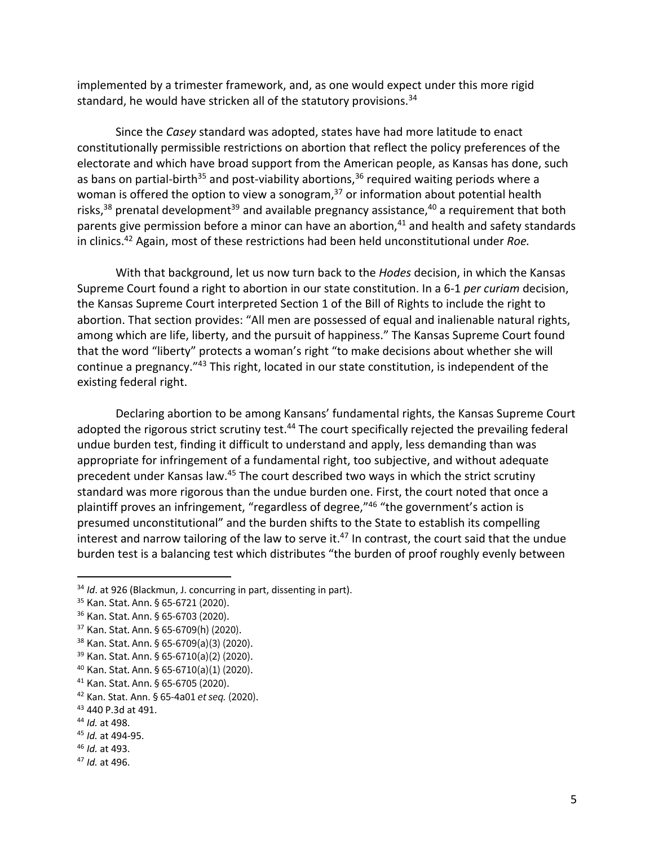implemented by a trimester framework, and, as one would expect under this more rigid standard, he would have stricken all of the statutory provisions.<sup>34</sup>

Since the *Casey* standard was adopted, states have had more latitude to enact constitutionally permissible restrictions on abortion that reflect the policy preferences of the electorate and which have broad support from the American people, as Kansas has done, such as bans on partial-birth<sup>35</sup> and post-viability abortions,<sup>36</sup> required waiting periods where a woman is offered the option to view a sonogram,<sup>37</sup> or information about potential health risks,<sup>38</sup> prenatal development<sup>39</sup> and available pregnancy assistance,<sup>40</sup> a requirement that both parents give permission before a minor can have an abortion,<sup>41</sup> and health and safety standards in clinics.42 Again, most of these restrictions had been held unconstitutional under *Roe.*

With that background, let us now turn back to the *Hodes* decision, in which the Kansas Supreme Court found a right to abortion in our state constitution. In a 6-1 *per curiam* decision, the Kansas Supreme Court interpreted Section 1 of the Bill of Rights to include the right to abortion. That section provides: "All men are possessed of equal and inalienable natural rights, among which are life, liberty, and the pursuit of happiness." The Kansas Supreme Court found that the word "liberty" protects a woman's right "to make decisions about whether she will continue a pregnancy."43 This right, located in our state constitution, is independent of the existing federal right.

Declaring abortion to be among Kansans' fundamental rights, the Kansas Supreme Court adopted the rigorous strict scrutiny test.<sup>44</sup> The court specifically rejected the prevailing federal undue burden test, finding it difficult to understand and apply, less demanding than was appropriate for infringement of a fundamental right, too subjective, and without adequate precedent under Kansas law.45 The court described two ways in which the strict scrutiny standard was more rigorous than the undue burden one. First, the court noted that once a plaintiff proves an infringement, "regardless of degree,"<sup>46</sup> "the government's action is presumed unconstitutional" and the burden shifts to the State to establish its compelling interest and narrow tailoring of the law to serve it.<sup>47</sup> In contrast, the court said that the undue burden test is a balancing test which distributes "the burden of proof roughly evenly between

- <sup>46</sup> *Id.* at 493.
- <sup>47</sup> *Id.* at 496.

<sup>34</sup> *Id*. at 926 (Blackmun, J. concurring in part, dissenting in part).

<sup>35</sup> Kan. Stat. Ann. § 65-6721 (2020).

<sup>36</sup> Kan. Stat. Ann. § 65-6703 (2020).

<sup>37</sup> Kan. Stat. Ann. § 65-6709(h) (2020).

<sup>38</sup> Kan. Stat. Ann. § 65-6709(a)(3) (2020).

<sup>39</sup> Kan. Stat. Ann. § 65-6710(a)(2) (2020).

<sup>40</sup> Kan. Stat. Ann. § 65-6710(a)(1) (2020).

<sup>41</sup> Kan. Stat. Ann. § 65-6705 (2020).

<sup>42</sup> Kan. Stat. Ann. § 65-4a01 *et seq.* (2020).

<sup>43</sup> 440 P.3d at 491.

<sup>44</sup> *Id.* at 498.

<sup>45</sup> *Id.* at 494-95.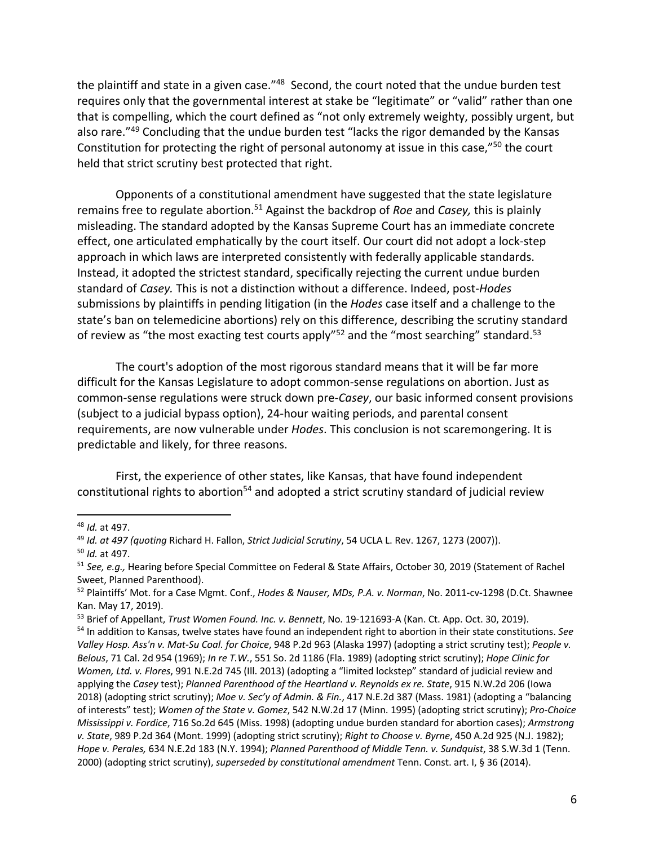the plaintiff and state in a given case."<sup>48</sup> Second, the court noted that the undue burden test requires only that the governmental interest at stake be "legitimate" or "valid" rather than one that is compelling, which the court defined as "not only extremely weighty, possibly urgent, but also rare."49 Concluding that the undue burden test "lacks the rigor demanded by the Kansas Constitution for protecting the right of personal autonomy at issue in this case,"<sup>50</sup> the court held that strict scrutiny best protected that right.

Opponents of a constitutional amendment have suggested that the state legislature remains free to regulate abortion.<sup>51</sup> Against the backdrop of *Roe* and *Casey*, this is plainly misleading. The standard adopted by the Kansas Supreme Court has an immediate concrete effect, one articulated emphatically by the court itself. Our court did not adopt a lock-step approach in which laws are interpreted consistently with federally applicable standards. Instead, it adopted the strictest standard, specifically rejecting the current undue burden standard of *Casey.* This is not a distinction without a difference. Indeed, post-*Hodes*  submissions by plaintiffs in pending litigation (in the *Hodes* case itself and a challenge to the state's ban on telemedicine abortions) rely on this difference, describing the scrutiny standard of review as "the most exacting test courts apply"<sup>52</sup> and the "most searching" standard.<sup>53</sup>

The court's adoption of the most rigorous standard means that it will be far more difficult for the Kansas Legislature to adopt common-sense regulations on abortion. Just as common-sense regulations were struck down pre-*Casey*, our basic informed consent provisions (subject to a judicial bypass option), 24-hour waiting periods, and parental consent requirements, are now vulnerable under *Hodes*. This conclusion is not scaremongering. It is predictable and likely, for three reasons.

First, the experience of other states, like Kansas, that have found independent constitutional rights to abortion<sup>54</sup> and adopted a strict scrutiny standard of judicial review

<sup>48</sup> *Id.* at 497.

<sup>49</sup> *Id. at 497 (quoting* Richard H. Fallon, *Strict Judicial Scrutiny*, 54 UCLA L. Rev. 1267, 1273 (2007)). <sup>50</sup> *Id.* at 497.

<sup>51</sup> *See, e.g.,* Hearing before Special Committee on Federal & State Affairs, October 30, 2019 (Statement of Rachel Sweet, Planned Parenthood).

<sup>52</sup> Plaintiffs' Mot. for a Case Mgmt. Conf., *Hodes & Nauser, MDs, P.A. v. Norman*, No. 2011-cv-1298 (D.Ct. Shawnee Kan. May 17, 2019).

<sup>53</sup> Brief of Appellant, *Trust Women Found. Inc. v. Bennett*, No. 19-121693-A (Kan. Ct. App. Oct. 30, 2019).

<sup>54</sup> In addition to Kansas, twelve states have found an independent right to abortion in their state constitutions. *See Valley Hosp. Ass'n v. Mat-Su Coal. for Choice*, 948 P.2d 963 (Alaska 1997) (adopting a strict scrutiny test); *People v. Belous*, 71 Cal. 2d 954 (1969); *In re T.W.*, 551 So. 2d 1186 (Fla. 1989) (adopting strict scrutiny); *Hope Clinic for Women, Ltd. v. Flores*, 991 N.E.2d 745 (Ill. 2013) (adopting a "limited lockstep" standard of judicial review and applying the *Casey* test); *Planned Parenthood of the Heartland v. Reynolds ex re. State*, 915 N.W.2d 206 (Iowa 2018) (adopting strict scrutiny); *Moe v. Sec'y of Admin. & Fin.*, 417 N.E.2d 387 (Mass. 1981) (adopting a "balancing of interests" test); *Women of the State v. Gomez*, 542 N.W.2d 17 (Minn. 1995) (adopting strict scrutiny); *Pro-Choice Mississippi v. Fordice*, 716 So.2d 645 (Miss. 1998) (adopting undue burden standard for abortion cases); *Armstrong v. State*, 989 P.2d 364 (Mont. 1999) (adopting strict scrutiny); *Right to Choose v. Byrne*, 450 A.2d 925 (N.J. 1982); *Hope v. Perales,* 634 N.E.2d 183 (N.Y. 1994); *Planned Parenthood of Middle Tenn. v. Sundquist*, 38 S.W.3d 1 (Tenn. 2000) (adopting strict scrutiny), *superseded by constitutional amendment* Tenn. Const. art. I, § 36 (2014).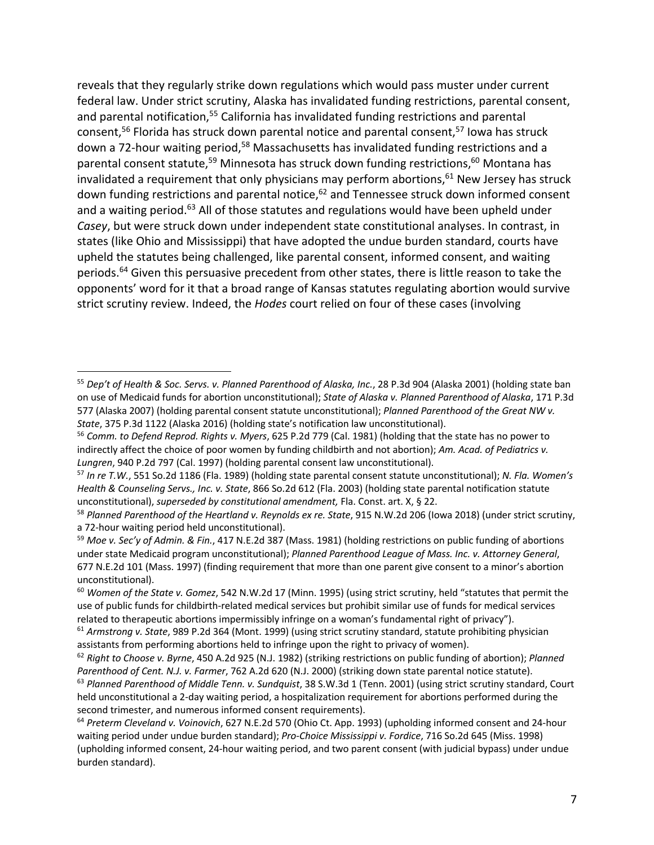reveals that they regularly strike down regulations which would pass muster under current federal law. Under strict scrutiny, Alaska has invalidated funding restrictions, parental consent, and parental notification,<sup>55</sup> California has invalidated funding restrictions and parental consent,<sup>56</sup> Florida has struck down parental notice and parental consent,<sup>57</sup> Iowa has struck down a 72-hour waiting period,<sup>58</sup> Massachusetts has invalidated funding restrictions and a parental consent statute,<sup>59</sup> Minnesota has struck down funding restrictions,<sup>60</sup> Montana has invalidated a requirement that only physicians may perform abortions, $61$  New Jersey has struck down funding restrictions and parental notice,<sup>62</sup> and Tennessee struck down informed consent and a waiting period.<sup>63</sup> All of those statutes and regulations would have been upheld under *Casey*, but were struck down under independent state constitutional analyses. In contrast, in states (like Ohio and Mississippi) that have adopted the undue burden standard, courts have upheld the statutes being challenged, like parental consent, informed consent, and waiting periods.<sup>64</sup> Given this persuasive precedent from other states, there is little reason to take the opponents' word for it that a broad range of Kansas statutes regulating abortion would survive strict scrutiny review. Indeed, the *Hodes* court relied on four of these cases (involving

<sup>55</sup> *Dep't of Health & Soc. Servs. v. Planned Parenthood of Alaska, Inc.*, 28 P.3d 904 (Alaska 2001) (holding state ban on use of Medicaid funds for abortion unconstitutional); *State of Alaska v. Planned Parenthood of Alaska*, 171 P.3d 577 (Alaska 2007) (holding parental consent statute unconstitutional); *Planned Parenthood of the Great NW v. State*, 375 P.3d 1122 (Alaska 2016) (holding state's notification law unconstitutional).

<sup>56</sup> *Comm. to Defend Reprod. Rights v. Myers*, 625 P.2d 779 (Cal. 1981) (holding that the state has no power to indirectly affect the choice of poor women by funding childbirth and not abortion); *Am. Acad. of Pediatrics v. Lungren*, 940 P.2d 797 (Cal. 1997) (holding parental consent law unconstitutional).

<sup>57</sup> *In re T.W.*, 551 So.2d 1186 (Fla. 1989) (holding state parental consent statute unconstitutional); *N. Fla. Women's Health & Counseling Servs., Inc. v. State*, 866 So.2d 612 (Fla. 2003) (holding state parental notification statute unconstitutional), *superseded by constitutional amendment,* Fla. Const. art. X, § 22.

<sup>58</sup> *Planned Parenthood of the Heartland v. Reynolds ex re. State*, 915 N.W.2d 206 (Iowa 2018) (under strict scrutiny, a 72-hour waiting period held unconstitutional).

<sup>59</sup> *Moe v. Sec'y of Admin. & Fin.*, 417 N.E.2d 387 (Mass. 1981) (holding restrictions on public funding of abortions under state Medicaid program unconstitutional); *Planned Parenthood League of Mass. Inc. v. Attorney General*, 677 N.E.2d 101 (Mass. 1997) (finding requirement that more than one parent give consent to a minor's abortion unconstitutional).

<sup>60</sup> *Women of the State v. Gomez*, 542 N.W.2d 17 (Minn. 1995) (using strict scrutiny, held "statutes that permit the use of public funds for childbirth-related medical services but prohibit similar use of funds for medical services related to therapeutic abortions impermissibly infringe on a woman's fundamental right of privacy").

<sup>61</sup> *Armstrong v. State*, 989 P.2d 364 (Mont. 1999) (using strict scrutiny standard, statute prohibiting physician assistants from performing abortions held to infringe upon the right to privacy of women).

<sup>62</sup> *Right to Choose v. Byrne*, 450 A.2d 925 (N.J. 1982) (striking restrictions on public funding of abortion); *Planned Parenthood of Cent. N.J. v. Farmer*, 762 A.2d 620 (N.J. 2000) (striking down state parental notice statute).

<sup>63</sup> *Planned Parenthood of Middle Tenn. v. Sundquist*, 38 S.W.3d 1 (Tenn. 2001) (using strict scrutiny standard, Court held unconstitutional a 2-day waiting period, a hospitalization requirement for abortions performed during the second trimester, and numerous informed consent requirements).

<sup>64</sup> *Preterm Cleveland v. Voinovich*, 627 N.E.2d 570 (Ohio Ct. App. 1993) (upholding informed consent and 24-hour waiting period under undue burden standard); *Pro-Choice Mississippi v. Fordice*, 716 So.2d 645 (Miss. 1998) (upholding informed consent, 24-hour waiting period, and two parent consent (with judicial bypass) under undue burden standard).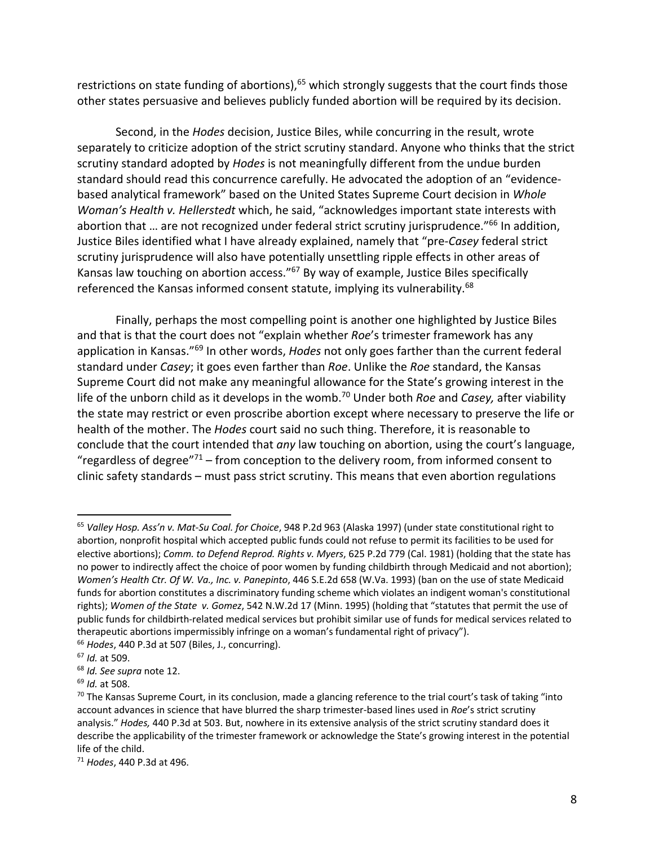restrictions on state funding of abortions),<sup>65</sup> which strongly suggests that the court finds those other states persuasive and believes publicly funded abortion will be required by its decision.

Second, in the *Hodes* decision, Justice Biles, while concurring in the result, wrote separately to criticize adoption of the strict scrutiny standard. Anyone who thinks that the strict scrutiny standard adopted by *Hodes* is not meaningfully different from the undue burden standard should read this concurrence carefully. He advocated the adoption of an "evidencebased analytical framework" based on the United States Supreme Court decision in *Whole Woman's Health v. Hellerstedt* which, he said, "acknowledges important state interests with abortion that ... are not recognized under federal strict scrutiny jurisprudence."<sup>66</sup> In addition, Justice Biles identified what I have already explained, namely that "pre-*Casey* federal strict scrutiny jurisprudence will also have potentially unsettling ripple effects in other areas of Kansas law touching on abortion access."67 By way of example, Justice Biles specifically referenced the Kansas informed consent statute, implying its vulnerability.<sup>68</sup>

Finally, perhaps the most compelling point is another one highlighted by Justice Biles and that is that the court does not "explain whether *Roe*'s trimester framework has any application in Kansas."69 In other words, *Hodes* not only goes farther than the current federal standard under *Casey*; it goes even farther than *Roe*. Unlike the *Roe* standard, the Kansas Supreme Court did not make any meaningful allowance for the State's growing interest in the life of the unborn child as it develops in the womb.70 Under both *Roe* and *Casey,* after viability the state may restrict or even proscribe abortion except where necessary to preserve the life or health of the mother. The *Hodes* court said no such thing. Therefore, it is reasonable to conclude that the court intended that *any* law touching on abortion, using the court's language, "regardless of degree" $71$  – from conception to the delivery room, from informed consent to clinic safety standards – must pass strict scrutiny. This means that even abortion regulations

<sup>65</sup> *Valley Hosp. Ass'n v. Mat-Su Coal. for Choice*, 948 P.2d 963 (Alaska 1997) (under state constitutional right to abortion, nonprofit hospital which accepted public funds could not refuse to permit its facilities to be used for elective abortions); *Comm. to Defend Reprod. Rights v. Myers*, 625 P.2d 779 (Cal. 1981) (holding that the state has no power to indirectly affect the choice of poor women by funding childbirth through Medicaid and not abortion); *Women's Health Ctr. Of W. Va., Inc. v. Panepinto*, 446 S.E.2d 658 (W.Va. 1993) (ban on the use of state Medicaid funds for abortion constitutes a discriminatory funding scheme which violates an indigent woman's constitutional rights); *Women of the State v. Gomez*, 542 N.W.2d 17 (Minn. 1995) (holding that "statutes that permit the use of public funds for childbirth-related medical services but prohibit similar use of funds for medical services related to therapeutic abortions impermissibly infringe on a woman's fundamental right of privacy"). <sup>66</sup> *Hodes*, 440 P.3d at 507 (Biles, J., concurring).

<sup>67</sup> *Id.* at 509.

<sup>68</sup> *Id. See supra* note 12.

<sup>69</sup> *Id.* at 508.

<sup>&</sup>lt;sup>70</sup> The Kansas Supreme Court, in its conclusion, made a glancing reference to the trial court's task of taking "into account advances in science that have blurred the sharp trimester-based lines used in *Roe*'s strict scrutiny analysis." *Hodes,* 440 P.3d at 503. But, nowhere in its extensive analysis of the strict scrutiny standard does it describe the applicability of the trimester framework or acknowledge the State's growing interest in the potential life of the child.

<sup>71</sup> *Hodes*, 440 P.3d at 496.